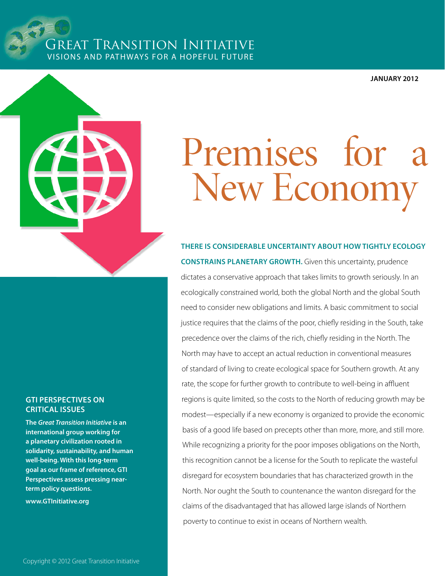## Great Transition Initiative Visions and Pathways for a Hopeful Future

**January 2012**



## **GTI Perspectives on Critical Issues**

**The** *[Great Transition Initiative](http://www.GTInitiative.org)* **is an international group working for a planetary civilization rooted in solidarity, sustainability, and human well-being. With this long-term goal as our frame of reference, GTI Perspectives assess pressing nearterm policy questions.**

**[www.GTInitiative.org](http://www.GTInitiative.org)**

# Premises for a New Economy

# **There is considerable uncertainty about how tightly ecology CONSTRAINS PLANETARY GROWTH.** Given this uncertainty, prudence dictates a conservative approach that takes limits to growth seriously. In an ecologically constrained world, both the global North and the global South

need to consider new obligations and limits. A basic commitment to social justice requires that the claims of the poor, chiefly residing in the South, take precedence over the claims of the rich, chiefly residing in the North. The North may have to accept an actual reduction in conventional measures of standard of living to create ecological space for Southern growth. At any rate, the scope for further growth to contribute to well-being in affluent regions is quite limited, so the costs to the North of reducing growth may be modest—especially if a new economy is organized to provide the economic basis of a good life based on precepts other than more, more, and still more. While recognizing a priority for the poor imposes obligations on the North, this recognition cannot be a license for the South to replicate the wasteful disregard for ecosystem boundaries that has characterized growth in the North. Nor ought the South to countenance the wanton disregard for the claims of the disadvantaged that has allowed large islands of Northern poverty to continue to exist in oceans of Northern wealth.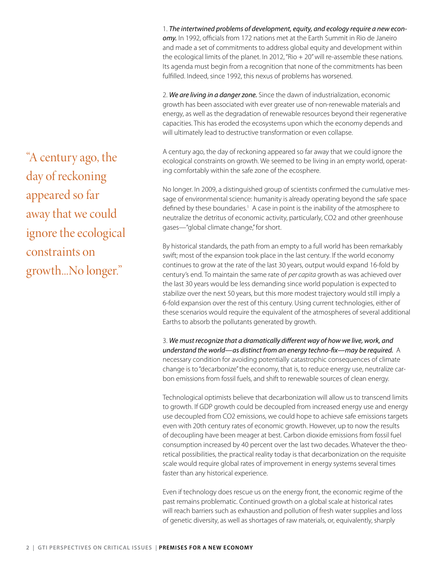1. *The intertwined problems of development, equity, and ecology require a new economy.* In 1992, officials from 172 nations met at the Earth Summit in Rio de Janeiro and made a set of commitments to address global equity and development within the ecological limits of the planet. In 2012, "Rio + 20" will re-assemble these nations. Its agenda must begin from a recognition that none of the commitments has been fulfilled. Indeed, since 1992, this nexus of problems has worsened.

2. *We are living in a danger zone.* Since the dawn of industrialization, economic growth has been associated with ever greater use of non-renewable materials and energy, as well as the degradation of renewable resources beyond their regenerative capacities. This has eroded the ecosystems upon which the economy depends and will ultimately lead to destructive transformation or even collapse.

A century ago, the day of reckoning appeared so far away that we could ignore the ecological constraints on growth. We seemed to be living in an empty world, operating comfortably within the safe zone of the ecosphere.

No longer. In 2009, a distinguished group of scientists confirmed the cumulative message of environmental science: humanity is already operating beyond the safe space defined by these boundaries.<sup>1</sup> A case in point is the inability of the atmosphere to neutralize the detritus of economic activity, particularly, CO2 and other greenhouse gases—"global climate change," for short.

By historical standards, the path from an empty to a full world has been remarkably swift; most of the expansion took place in the last century. If the world economy continues to grow at the rate of the last 30 years, output would expand 16-fold by century's end. To maintain the same rate of *per capita* growth as was achieved over the last 30 years would be less demanding since world population is expected to stabilize over the next 50 years, but this more modest trajectory would still imply a 6-fold expansion over the rest of this century. Using current technologies, either of these scenarios would require the equivalent of the atmospheres of several additional Earths to absorb the pollutants generated by growth.

3. *We must recognize that a dramatically different way of how we live, work, and understand the world—as distinct from an energy techno-fix—may be required.* A necessary condition for avoiding potentially catastrophic consequences of climate change is to "decarbonize" the economy, that is, to reduce energy use, neutralize carbon emissions from fossil fuels, and shift to renewable sources of clean energy.

Technological optimists believe that decarbonization will allow us to transcend limits to growth. If GDP growth could be decoupled from increased energy use and energy use decoupled from CO2 emissions, we could hope to achieve safe emissions targets even with 20th century rates of economic growth. However, up to now the results of decoupling have been meager at best. Carbon dioxide emissions from fossil fuel consumption increased by 40 percent over the last two decades. Whatever the theoretical possibilities, the practical reality today is that decarbonization on the requisite scale would require global rates of improvement in energy systems several times faster than any historical experience.

Even if technology does rescue us on the energy front, the economic regime of the past remains problematic. Continued growth on a global scale at historical rates will reach barriers such as exhaustion and pollution of fresh water supplies and loss of genetic diversity, as well as shortages of raw materials, or, equivalently, sharply

"A century ago, the day of reckoning appeared so far away that we could ignore the ecological constraints on growth...No longer."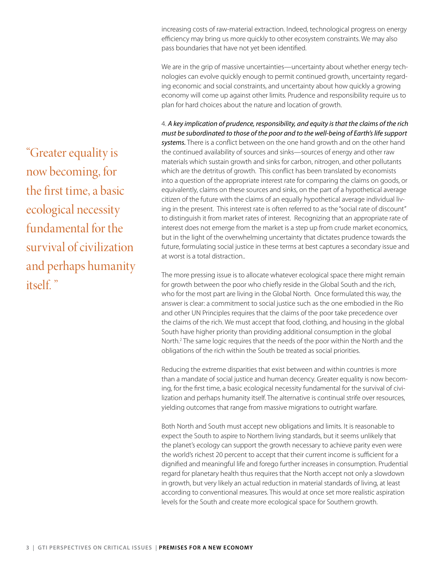increasing costs of raw-material extraction. Indeed, technological progress on energy efficiency may bring us more quickly to other ecosystem constraints. We may also pass boundaries that have not yet been identified.

We are in the grip of massive uncertainties—uncertainty about whether energy technologies can evolve quickly enough to permit continued growth, uncertainty regarding economic and social constraints, and uncertainty about how quickly a growing economy will come up against other limits. Prudence and responsibility require us to plan for hard choices about the nature and location of growth.

4. *A key implication of prudence, responsibility, and equity is that the claims of the rich must be subordinated to those of the poor and to the well-being of Earth's life support systems.* There is a conflict between on the one hand growth and on the other hand the continued availability of sources and sinks—sources of energy and other raw materials which sustain growth and sinks for carbon, nitrogen, and other pollutants which are the detritus of growth. This conflict has been translated by economists into a question of the appropriate interest rate for comparing the claims on goods, or equivalently, claims on these sources and sinks, on the part of a hypothetical average citizen of the future with the claims of an equally hypothetical average individual living in the present. This interest rate is often referred to as the "social rate of discount" to distinguish it from market rates of interest. Recognizing that an appropriate rate of interest does not emerge from the market is a step up from crude market economics, but in the light of the overwhelming uncertainty that dictates prudence towards the future, formulating social justice in these terms at best captures a secondary issue and at worst is a total distraction..

The more pressing issue is to allocate whatever ecological space there might remain for growth between the poor who chiefly reside in the Global South and the rich, who for the most part are living in the Global North. Once formulated this way, the answer is clear: a commitment to social justice such as the one embodied in the Rio and other UN Principles requires that the claims of the poor take precedence over the claims of the rich. We must accept that food, clothing, and housing in the global South have higher priority than providing additional consumption in the global North.2 The same logic requires that the needs of the poor within the North and the obligations of the rich within the South be treated as social priorities.

Reducing the extreme disparities that exist between and within countries is more than a mandate of social justice and human decency. Greater equality is now becoming, for the first time, a basic ecological necessity fundamental for the survival of civilization and perhaps humanity itself. The alternative is continual strife over resources, yielding outcomes that range from massive migrations to outright warfare.

Both North and South must accept new obligations and limits. It is reasonable to expect the South to aspire to Northern living standards, but it seems unlikely that the planet's ecology can support the growth necessary to achieve parity even were the world's richest 20 percent to accept that their current income is sufficient for a dignified and meaningful life and forego further increases in consumption. Prudential regard for planetary health thus requires that the North accept not only a slowdown in growth, but very likely an actual reduction in material standards of living, at least according to conventional measures. This would at once set more realistic aspiration levels for the South and create more ecological space for Southern growth.

"Greater equality is now becoming, for the first time, a basic ecological necessity fundamental for the survival of civilization and perhaps humanity itself<sup>"</sup>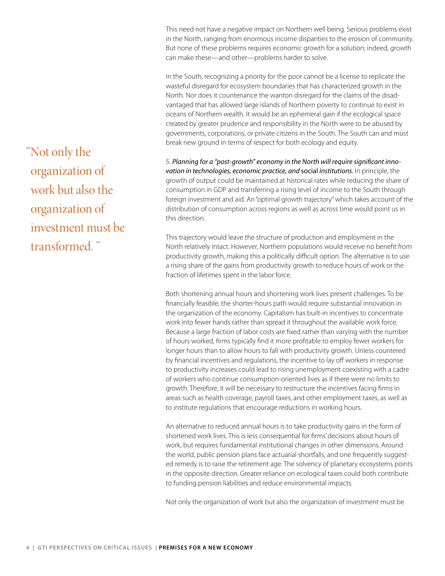This need not have a negative impact on Northern well being. Serious problems exist in the North, ranging from enormous income disparities to the erosion of community. But none of these problems requires economic growth for a solution; indeed, growth can make these—and other—problems harder to solve.

In the South, recognizing a priority for the poor cannot be a license to replicate the wasteful disregard for ecosystem boundaries that has characterized growth in the North. Nor does it countenance the wanton disregard for the claims of the disadvantaged that has allowed large islands of Northern poverty to continue to exist in oceans of Northern wealth. It would be an ephemeral gain if the ecological space created by greater prudence and responsibility in the North were to be abused by governments, corporations, or private citizens in the South. The South can and must break new ground in terms of respect for both ecology and equity.

5. *Planning for a "post-growth" economy in the North will require significant innovation in technologies, economic practice, and* social *institutions.* In principle, the growth of output could be maintained at historical rates while reducing the share of consumption in GDP and transferring a rising level of income to the South through foreign investment and aid. An "optimal growth trajectory" which takes account of the distribution of consumption across regions as well as across time would point us in this direction.

This trajectory would leave the structure of production and employment in the North relatively intact. However, Northern populations would receive no benefit from productivity growth, making this a politically difficult option. The alternative is to use a rising share of the gains from productivity growth to reduce hours of work or the fraction of lifetimes spent in the labor force.

Both shortening annual hours and shortening work lives present challenges. To be financially feasible, the shorter-hours path would require substantial innovation in the organization of the economy. Capitalism has built-in incentives to concentrate work into fewer hands rather than spread it throughout the available work force. Because a large fraction of labor costs are fixed rather than varying with the number of hours worked, firms typically find it more profitable to employ fewer workers for longer hours than to allow hours to fall with productivity growth. Unless countered by financial incentives and regulations, the incentive to lay off workers in response to productivity increases could lead to rising unemployment coexisting with a cadre of workers who continue consumption-oriented lives as if there were no limits to growth. Therefore, it will be necessary to restructure the incentives facing firms in areas such as health coverage, payroll taxes, and other employment taxes, as well as to institute regulations that encourage reductions in working hours.

An alternative to reduced annual hours is to take productivity gains in the form of shortened work lives. This is less consequential for firms' decisions about hours of work, but requires fundamental institutional changes in other dimensions. Around the world, public pension plans face actuarial shortfalls, and one frequently suggested remedy is to raise the retirement age. The solvency of planetary ecosystems points in the opposite direction. Greater reliance on ecological taxes could both contribute to funding pension liabilities and reduce environmental impacts.

Not only the organization of work but also the organization of investment must be

"Not only the organization of work but also the organization of investment must be transformed. "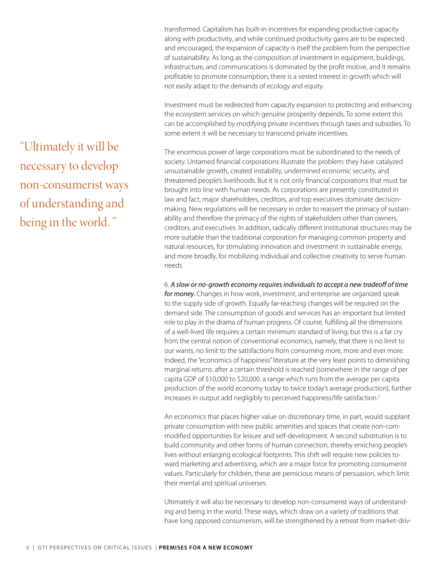transformed. Capitalism has built-in incentives for expanding productive capacity along with productivity, and while continued productivity gains are to be expected and encouraged, the expansion of capacity is itself the problem from the perspective of sustainability. As long as the composition of investment in equipment, buildings, infrastructure, and communications is dominated by the profit motive, and it remains profitable to promote consumption, there is a vested interest in growth which will not easily adapt to the demands of ecology and equity.

Investment must be redirected from capacity expansion to protecting and enhancing the ecosystem services on which genuine prosperity depends. To some extent this can be accomplished by modifying private incentives through taxes and subsidies. To some extent it will be necessary to transcend private incentives.

The enormous power of large corporations must be subordinated to the needs of society. Untamed financial corporations illustrate the problem: they have catalyzed unsustainable growth, created instability, undermined economic security, and threatened people's livelihoods. But it is not only financial corporations that must be brought into line with human needs. As corporations are presently constituted in law and fact, major shareholders, creditors, and top executives dominate decisionmaking. New regulations will be necessary in order to reassert the primacy of sustainability and therefore the primacy of the rights of stakeholders other than owners, creditors, and executives. In addition, radically different institutional structures may be more suitable than the traditional corporation for managing common property and natural resources, for stimulating innovation and investment in sustainable energy, and more broadly, for mobilizing individual and collective creativity to serve human needs.

6. *A slow or no-growth economy requires individuals to accept a new tradeoff of time for money.* Changes in how work, investment, and enterprise are organized speak to the supply side of growth. Equally far-reaching changes will be required on the demand side. The consumption of goods and services has an important but limited role to play in the drama of human progress. Of course, fulfilling all the dimensions of a well-lived life requires a certain minimum standard of living, but this is a far cry from the central notion of conventional economics, namely, that there is no limit to our wants, no limit to the satisfactions from consuming more, more and ever more. Indeed, the "economics of happiness" literature at the very least points to diminishing marginal returns: after a certain threshold is reached (somewhere in the range of per capita GDP of \$10,000 to \$20,000, a range which runs from the average per capita production of the world economy today to twice today's average production), further increases in output add negligibly to perceived happiness/life satisfaction.<sup>2</sup>

An economics that places higher value on discretionary time, in part, would supplant private consumption with new public amenities and spaces that create non-commodified opportunities for leisure and self-development. A second substitution is to build community and other forms of human connection, thereby enriching people's lives without enlarging ecological footprints. This shift will require new policies toward marketing and advertising, which are a major force for promoting consumerist values. Particularly for children, these are pernicious means of persuasion, which limit their mental and spiritual universes.

Ultimately it will also be necessary to develop non-consumerist ways of understanding and being in the world. These ways, which draw on a variety of traditions that have long opposed consumerism, will be strengthened by a retreat from market-driv-

"Ultimately it will be necessary to develop non-consumerist ways of understanding and being in the world."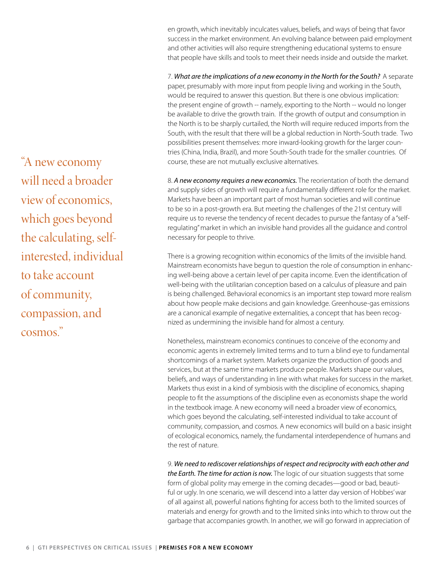en growth, which inevitably inculcates values, beliefs, and ways of being that favor success in the market environment. An evolving balance between paid employment and other activities will also require strengthening educational systems to ensure that people have skills and tools to meet their needs inside and outside the market.

7. *What are the implications of a new economy in the North for the South?* A separate paper, presumably with more input from people living and working in the South, would be required to answer this question. But there is one obvious implication: the present engine of growth -- namely, exporting to the North -- would no longer be available to drive the growth train. If the growth of output and consumption in the North is to be sharply curtailed, the North will require reduced imports from the South, with the result that there will be a global reduction in North-South trade. Two possibilities present themselves: more inward-looking growth for the larger countries (China, India, Brazil), and more South-South trade for the smaller countries. Of course, these are not mutually exclusive alternatives.

8. *A new economy requires a new economics.* The reorientation of both the demand and supply sides of growth will require a fundamentally different role for the market. Markets have been an important part of most human societies and will continue to be so in a post-growth era. But meeting the challenges of the 21st century will require us to reverse the tendency of recent decades to pursue the fantasy of a "selfregulating" market in which an invisible hand provides all the guidance and control necessary for people to thrive.

There is a growing recognition within economics of the limits of the invisible hand. Mainstream economists have begun to question the role of consumption in enhancing well-being above a certain level of per capita income. Even the identification of well-being with the utilitarian conception based on a calculus of pleasure and pain is being challenged. Behavioral economics is an important step toward more realism about how people make decisions and gain knowledge. Greenhouse-gas emissions are a canonical example of negative externalities, a concept that has been recognized as undermining the invisible hand for almost a century.

Nonetheless, mainstream economics continues to conceive of the economy and economic agents in extremely limited terms and to turn a blind eye to fundamental shortcomings of a market system. Markets organize the production of goods and services, but at the same time markets produce people. Markets shape our values, beliefs, and ways of understanding in line with what makes for success in the market. Markets thus exist in a kind of symbiosis with the discipline of economics, shaping people to fit the assumptions of the discipline even as economists shape the world in the textbook image. A new economy will need a broader view of economics, which goes beyond the calculating, self-interested individual to take account of community, compassion, and cosmos. A new economics will build on a basic insight of ecological economics, namely, the fundamental interdependence of humans and the rest of nature.

9. *We need to rediscover relationships of respect and reciprocity with each other and the Earth. The time for action is now.* The logic of our situation suggests that some form of global polity may emerge in the coming decades—good or bad, beautiful or ugly. In one scenario, we will descend into a latter day version of Hobbes' war of all against all, powerful nations fighting for access both to the limited sources of materials and energy for growth and to the limited sinks into which to throw out the garbage that accompanies growth. In another, we will go forward in appreciation of

"A new economy will need a broader view of economics, which goes beyond the calculating, selfinterested, individual to take account of community, compassion, and cosmos."